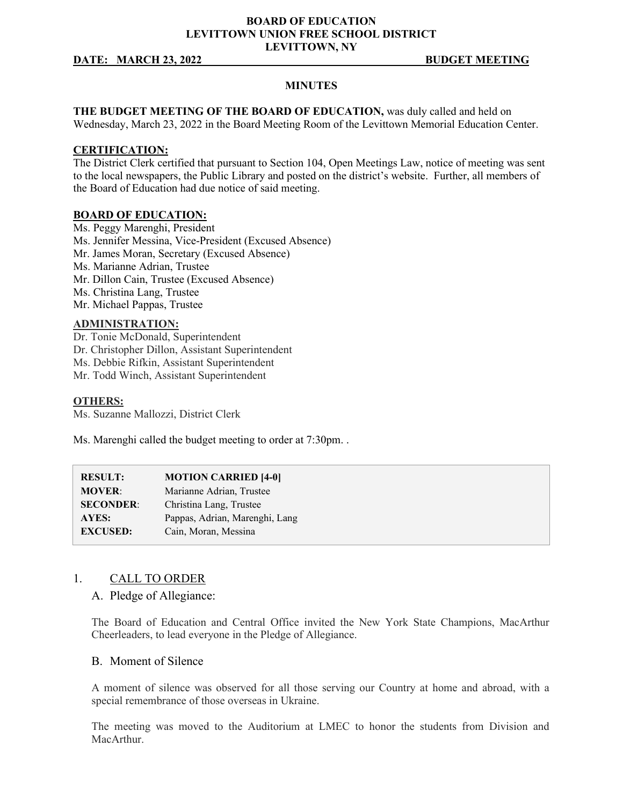### **BOARD OF EDUCATION LEVITTOWN UNION FREE SCHOOL DISTRICT LEVITTOWN, NY**

#### **DATE: MARCH 23, 2022 BUDGET MEETING**

#### **MINUTES**

**THE BUDGET MEETING OF THE BOARD OF EDUCATION,** was duly called and held on Wednesday, March 23, 2022 in the Board Meeting Room of the Levittown Memorial Education Center.

#### **CERTIFICATION:**

The District Clerk certified that pursuant to Section 104, Open Meetings Law, notice of meeting was sent to the local newspapers, the Public Library and posted on the district's website. Further, all members of the Board of Education had due notice of said meeting.

#### **BOARD OF EDUCATION:**

Ms. Peggy Marenghi, President Ms. Jennifer Messina, Vice-President (Excused Absence) Mr. James Moran, Secretary (Excused Absence) Ms. Marianne Adrian, Trustee Mr. Dillon Cain, Trustee (Excused Absence) Ms. Christina Lang, Trustee Mr. Michael Pappas, Trustee

#### **ADMINISTRATION:**

Dr. Tonie McDonald, Superintendent Dr. Christopher Dillon, Assistant Superintendent Ms. Debbie Rifkin, Assistant Superintendent Mr. Todd Winch, Assistant Superintendent

#### **OTHERS:**

Ms. Suzanne Mallozzi, District Clerk

Ms. Marenghi called the budget meeting to order at 7:30pm. .

| <b>RESULT:</b>   | <b>MOTION CARRIED [4-0]</b>    |
|------------------|--------------------------------|
| <b>MOVER:</b>    | Marianne Adrian, Trustee       |
| <b>SECONDER:</b> | Christina Lang, Trustee        |
| AYES:            | Pappas, Adrian, Marenghi, Lang |
| <b>EXCUSED:</b>  | Cain, Moran, Messina           |

### 1. CALL TO ORDER

### A. Pledge of Allegiance:

The Board of Education and Central Office invited the New York State Champions, MacArthur Cheerleaders, to lead everyone in the Pledge of Allegiance.

## B. Moment of Silence

A moment of silence was observed for all those serving our Country at home and abroad, with a special remembrance of those overseas in Ukraine.

The meeting was moved to the Auditorium at LMEC to honor the students from Division and MacArthur.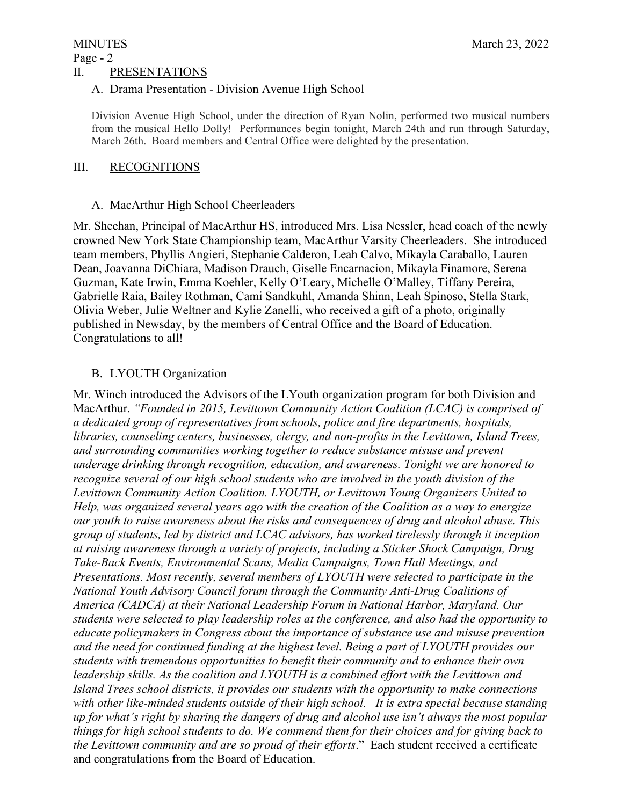# MINUTES March 23, 2022 Page - 2

## II. PRESENTATIONS

# A. Drama Presentation - Division Avenue High School

Division Avenue High School, under the direction of Ryan Nolin, performed two musical numbers from the musical Hello Dolly! Performances begin tonight, March 24th and run through Saturday, March 26th. Board members and Central Office were delighted by the presentation.

# III. RECOGNITIONS

# A. MacArthur High School Cheerleaders

Mr. Sheehan, Principal of MacArthur HS, introduced Mrs. Lisa Nessler, head coach of the newly crowned New York State Championship team, MacArthur Varsity Cheerleaders. She introduced team members, Phyllis Angieri, Stephanie Calderon, Leah Calvo, Mikayla Caraballo, Lauren Dean, Joavanna DiChiara, Madison Drauch, Giselle Encarnacion, Mikayla Finamore, Serena Guzman, Kate Irwin, Emma Koehler, Kelly O'Leary, Michelle O'Malley, Tiffany Pereira, Gabrielle Raia, Bailey Rothman, Cami Sandkuhl, Amanda Shinn, Leah Spinoso, Stella Stark, Olivia Weber, Julie Weltner and Kylie Zanelli, who received a gift of a photo, originally published in Newsday, by the members of Central Office and the Board of Education. Congratulations to all!

# B. LYOUTH Organization

Mr. Winch introduced the Advisors of the LYouth organization program for both Division and MacArthur. *"Founded in 2015, Levittown Community Action Coalition (LCAC) is comprised of a dedicated group of representatives from schools, police and fire departments, hospitals, libraries, counseling centers, businesses, clergy, and non-profits in the Levittown, Island Trees, and surrounding communities working together to reduce substance misuse and prevent underage drinking through recognition, education, and awareness. Tonight we are honored to recognize several of our high school students who are involved in the youth division of the Levittown Community Action Coalition. LYOUTH, or Levittown Young Organizers United to Help, was organized several years ago with the creation of the Coalition as a way to energize our youth to raise awareness about the risks and consequences of drug and alcohol abuse. This group of students, led by district and LCAC advisors, has worked tirelessly through it inception at raising awareness through a variety of projects, including a Sticker Shock Campaign, Drug Take-Back Events, Environmental Scans, Media Campaigns, Town Hall Meetings, and Presentations. Most recently, several members of LYOUTH were selected to participate in the National Youth Advisory Council forum through the Community Anti-Drug Coalitions of America (CADCA) at their National Leadership Forum in National Harbor, Maryland. Our students were selected to play leadership roles at the conference, and also had the opportunity to educate policymakers in Congress about the importance of substance use and misuse prevention and the need for continued funding at the highest level. Being a part of LYOUTH provides our students with tremendous opportunities to benefit their community and to enhance their own leadership skills. As the coalition and LYOUTH is a combined effort with the Levittown and Island Trees school districts, it provides our students with the opportunity to make connections with other like-minded students outside of their high school. It is extra special because standing up for what's right by sharing the dangers of drug and alcohol use isn't always the most popular things for high school students to do. We commend them for their choices and for giving back to the Levittown community and are so proud of their efforts*." Each student received a certificate and congratulations from the Board of Education.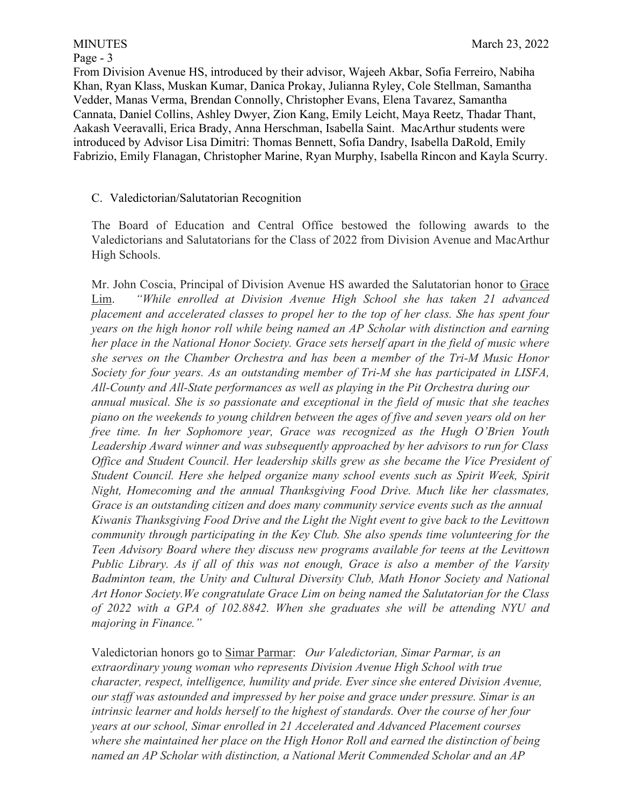## Page - 3

From Division Avenue HS, introduced by their advisor, Wajeeh Akbar, Sofia Ferreiro, Nabiha Khan, Ryan Klass, Muskan Kumar, Danica Prokay, Julianna Ryley, Cole Stellman, Samantha Vedder, Manas Verma, Brendan Connolly, Christopher Evans, Elena Tavarez, Samantha Cannata, Daniel Collins, Ashley Dwyer, Zion Kang, Emily Leicht, Maya Reetz, Thadar Thant, Aakash Veeravalli, Erica Brady, Anna Herschman, Isabella Saint. MacArthur students were introduced by Advisor Lisa Dimitri: Thomas Bennett, Sofia Dandry, Isabella DaRold, Emily Fabrizio, Emily Flanagan, Christopher Marine, Ryan Murphy, Isabella Rincon and Kayla Scurry.

## C. Valedictorian/Salutatorian Recognition

The Board of Education and Central Office bestowed the following awards to the Valedictorians and Salutatorians for the Class of 2022 from Division Avenue and MacArthur High Schools.

Mr. John Coscia, Principal of Division Avenue HS awarded the Salutatorian honor to Grace Lim. *"While enrolled at Division Avenue High School she has taken 21 advanced placement and accelerated classes to propel her to the top of her class. She has spent four years on the high honor roll while being named an AP Scholar with distinction and earning her place in the National Honor Society. Grace sets herself apart in the field of music where she serves on the Chamber Orchestra and has been a member of the Tri-M Music Honor Society for four years. As an outstanding member of Tri-M she has participated in LISFA, All-County and All-State performances as well as playing in the Pit Orchestra during our annual musical. She is so passionate and exceptional in the field of music that she teaches piano on the weekends to young children between the ages of five and seven years old on her free time. In her Sophomore year, Grace was recognized as the Hugh O'Brien Youth Leadership Award winner and was subsequently approached by her advisors to run for Class Office and Student Council. Her leadership skills grew as she became the Vice President of Student Council. Here she helped organize many school events such as Spirit Week, Spirit Night, Homecoming and the annual Thanksgiving Food Drive. Much like her classmates, Grace is an outstanding citizen and does many community service events such as the annual Kiwanis Thanksgiving Food Drive and the Light the Night event to give back to the Levittown community through participating in the Key Club. She also spends time volunteering for the Teen Advisory Board where they discuss new programs available for teens at the Levittown Public Library. As if all of this was not enough, Grace is also a member of the Varsity Badminton team, the Unity and Cultural Diversity Club, Math Honor Society and National Art Honor Society.We congratulate Grace Lim on being named the Salutatorian for the Class of 2022 with a GPA of 102.8842. When she graduates she will be attending NYU and majoring in Finance."* 

Valedictorian honors go to Simar Parmar: *Our Valedictorian, Simar Parmar, is an extraordinary young woman who represents Division Avenue High School with true character, respect, intelligence, humility and pride. Ever since she entered Division Avenue, our staff was astounded and impressed by her poise and grace under pressure. Simar is an intrinsic learner and holds herself to the highest of standards. Over the course of her four years at our school, Simar enrolled in 21 Accelerated and Advanced Placement courses where she maintained her place on the High Honor Roll and earned the distinction of being named an AP Scholar with distinction, a National Merit Commended Scholar and an AP*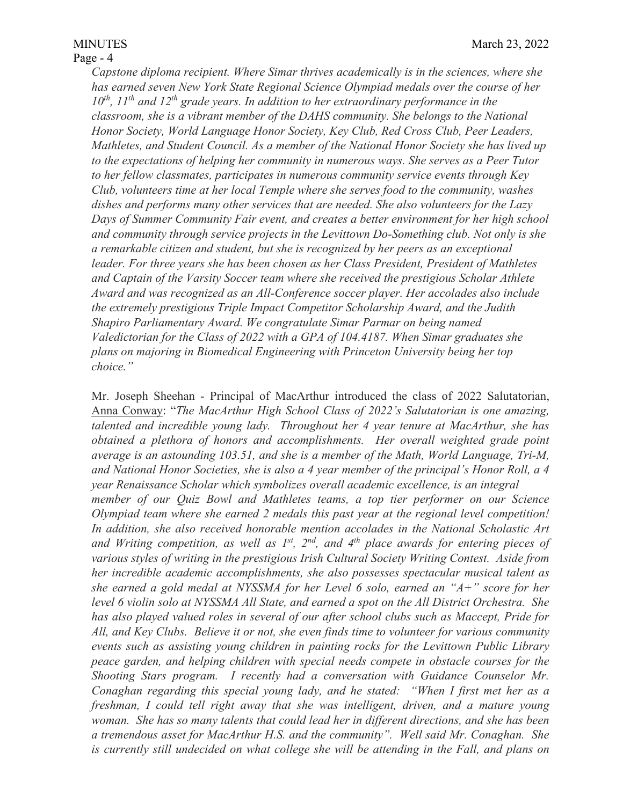## Page - 4

*Capstone diploma recipient. Where Simar thrives academically is in the sciences, where she has earned seven New York State Regional Science Olympiad medals over the course of her 10th, 11th and 12th grade years. In addition to her extraordinary performance in the classroom, she is a vibrant member of the DAHS community. She belongs to the National Honor Society, World Language Honor Society, Key Club, Red Cross Club, Peer Leaders, Mathletes, and Student Council. As a member of the National Honor Society she has lived up to the expectations of helping her community in numerous ways. She serves as a Peer Tutor to her fellow classmates, participates in numerous community service events through Key Club, volunteers time at her local Temple where she serves food to the community, washes dishes and performs many other services that are needed. She also volunteers for the Lazy Days of Summer Community Fair event, and creates a better environment for her high school and community through service projects in the Levittown Do-Something club. Not only is she a remarkable citizen and student, but she is recognized by her peers as an exceptional leader. For three years she has been chosen as her Class President, President of Mathletes and Captain of the Varsity Soccer team where she received the prestigious Scholar Athlete Award and was recognized as an All-Conference soccer player. Her accolades also include the extremely prestigious Triple Impact Competitor Scholarship Award, and the Judith Shapiro Parliamentary Award. We congratulate Simar Parmar on being named Valedictorian for the Class of 2022 with a GPA of 104.4187. When Simar graduates she plans on majoring in Biomedical Engineering with Princeton University being her top choice."* 

Mr. Joseph Sheehan - Principal of MacArthur introduced the class of 2022 Salutatorian, Anna Conway: "*The MacArthur High School Class of 2022's Salutatorian is one amazing, talented and incredible young lady. Throughout her 4 year tenure at MacArthur, she has obtained a plethora of honors and accomplishments. Her overall weighted grade point average is an astounding 103.51, and she is a member of the Math, World Language, Tri-M, and National Honor Societies, she is also a 4 year member of the principal's Honor Roll, a 4 year Renaissance Scholar which symbolizes overall academic excellence, is an integral member of our Quiz Bowl and Mathletes teams, a top tier performer on our Science Olympiad team where she earned 2 medals this past year at the regional level competition! In addition, she also received honorable mention accolades in the National Scholastic Art and Writing competition, as well as 1st, 2nd, and 4th place awards for entering pieces of various styles of writing in the prestigious Irish Cultural Society Writing Contest. Aside from her incredible academic accomplishments, she also possesses spectacular musical talent as she earned a gold medal at NYSSMA for her Level 6 solo, earned an "A+" score for her level 6 violin solo at NYSSMA All State, and earned a spot on the All District Orchestra. She has also played valued roles in several of our after school clubs such as Maccept, Pride for All, and Key Clubs. Believe it or not, she even finds time to volunteer for various community events such as assisting young children in painting rocks for the Levittown Public Library peace garden, and helping children with special needs compete in obstacle courses for the Shooting Stars program. I recently had a conversation with Guidance Counselor Mr. Conaghan regarding this special young lady, and he stated: "When I first met her as a freshman, I could tell right away that she was intelligent, driven, and a mature young woman. She has so many talents that could lead her in different directions, and she has been a tremendous asset for MacArthur H.S. and the community". Well said Mr. Conaghan. She is currently still undecided on what college she will be attending in the Fall, and plans on*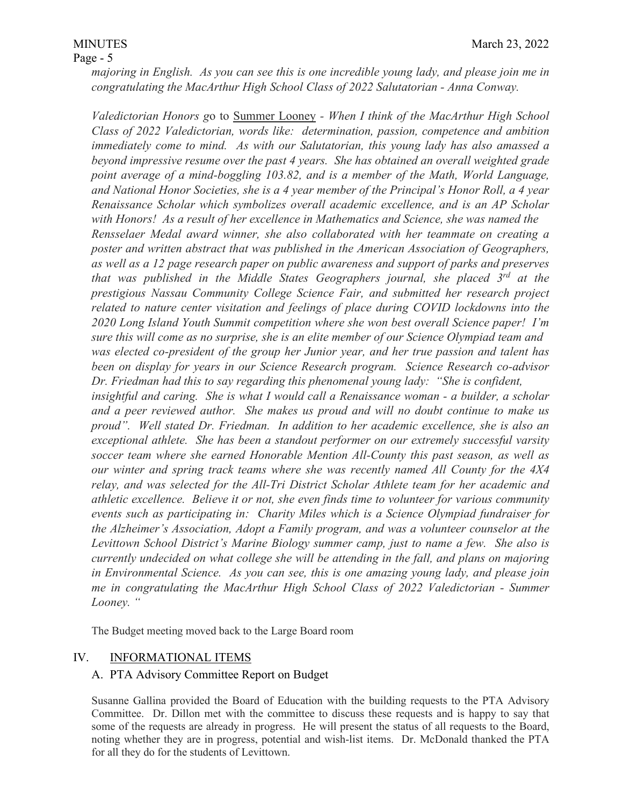*majoring in English. As you can see this is one incredible young lady, and please join me in congratulating the MacArthur High School Class of 2022 Salutatorian - Anna Conway.* 

*Valedictorian Honors g*o to Summer Looney *- When I think of the MacArthur High School Class of 2022 Valedictorian, words like: determination, passion, competence and ambition immediately come to mind. As with our Salutatorian, this young lady has also amassed a beyond impressive resume over the past 4 years. She has obtained an overall weighted grade point average of a mind-boggling 103.82, and is a member of the Math, World Language, and National Honor Societies, she is a 4 year member of the Principal's Honor Roll, a 4 year Renaissance Scholar which symbolizes overall academic excellence, and is an AP Scholar with Honors! As a result of her excellence in Mathematics and Science, she was named the Rensselaer Medal award winner, she also collaborated with her teammate on creating a poster and written abstract that was published in the American Association of Geographers, as well as a 12 page research paper on public awareness and support of parks and preserves that was published in the Middle States Geographers journal, she placed 3rd at the prestigious Nassau Community College Science Fair, and submitted her research project related to nature center visitation and feelings of place during COVID lockdowns into the 2020 Long Island Youth Summit competition where she won best overall Science paper! I'm sure this will come as no surprise, she is an elite member of our Science Olympiad team and was elected co-president of the group her Junior year, and her true passion and talent has been on display for years in our Science Research program. Science Research co-advisor Dr. Friedman had this to say regarding this phenomenal young lady: "She is confident, insightful and caring. She is what I would call a Renaissance woman - a builder, a scholar and a peer reviewed author. She makes us proud and will no doubt continue to make us proud". Well stated Dr. Friedman. In addition to her academic excellence, she is also an exceptional athlete. She has been a standout performer on our extremely successful varsity soccer team where she earned Honorable Mention All-County this past season, as well as our winter and spring track teams where she was recently named All County for the 4X4 relay, and was selected for the All-Tri District Scholar Athlete team for her academic and athletic excellence. Believe it or not, she even finds time to volunteer for various community events such as participating in: Charity Miles which is a Science Olympiad fundraiser for the Alzheimer's Association, Adopt a Family program, and was a volunteer counselor at the Levittown School District's Marine Biology summer camp, just to name a few. She also is currently undecided on what college she will be attending in the fall, and plans on majoring in Environmental Science. As you can see, this is one amazing young lady, and please join me in congratulating the MacArthur High School Class of 2022 Valedictorian - Summer Looney. "* 

The Budget meeting moved back to the Large Board room

## IV. INFORMATIONAL ITEMS

## A. PTA Advisory Committee Report on Budget

Susanne Gallina provided the Board of Education with the building requests to the PTA Advisory Committee. Dr. Dillon met with the committee to discuss these requests and is happy to say that some of the requests are already in progress. He will present the status of all requests to the Board, noting whether they are in progress, potential and wish-list items. Dr. McDonald thanked the PTA for all they do for the students of Levittown.